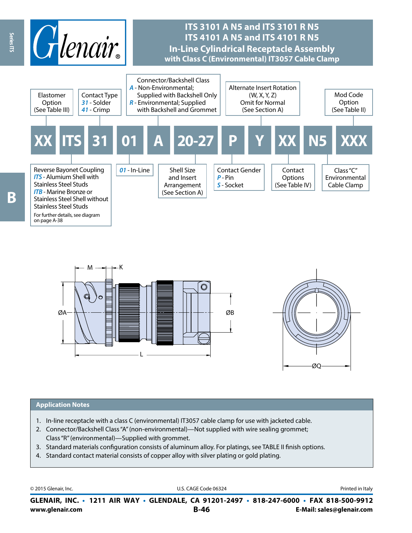





#### **Application Notes**

- 1. In-line receptacle with a class C (environmental) IT3057 cable clamp for use with jacketed cable.
- 2. Connector/Backshell Class "A" (non-environmental)—Not supplied with wire sealing grommet; Class "R" (environmental)—Supplied with grommet.
- 3. Standard materials configuration consists of aluminum alloy. For platings, see TABLE II finish options.
- 4. Standard contact material consists of copper alloy with silver plating or gold plating.

© 2015 Glenair, Inc. **Discription Construction Construction Construction Construction Construction Construction Construction Construction Construction Construction Construction Construction Construction Construction Constr** 

**www.glenair.com B-46 E-Mail: sales@glenair.com GLENAIR, INC. • 1211 AIR WAY • GLENDALE, CA 91201-2497 • 818-247-6000 • FAX 818-500-9912**